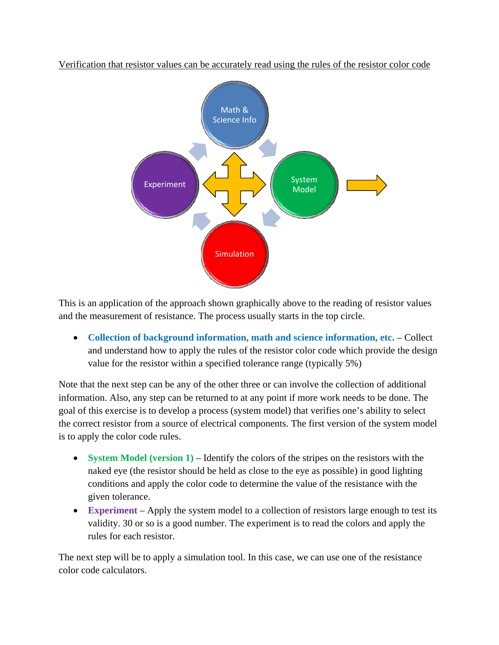



This is an application of the approach shown graphically above to the reading of resistor values and the measurement of resistance. The process usually starts in the top circle.

• **Collection of background information, math and science information, etc.** – Collect and understand how to apply the rules of the resistor color code which provide the design value for the resistor within a specified tolerance range (typically 5%)

Note that the next step can be any of the other three or can involve the collection of additional information. Also, any step can be returned to at any point if more work needs to be done. The goal of this exercise is to develop a process (system model) that verifies one's ability to select the correct resistor from a source of electrical components. The first version of the system model is to apply the color code rules.

- **System Model (version 1)** Identify the colors of the stripes on the resistors with the naked eye (the resistor should be held as close to the eye as possible) in good lighting conditions and apply the color code to determine the value of the resistance with the given tolerance.
- **Experiment** Apply the system model to a collection of resistors large enough to test its validity. 30 or so is a good number. The experiment is to read the colors and apply the rules for each resistor.

The next step will be to apply a simulation tool. In this case, we can use one of the resistance color code calculators.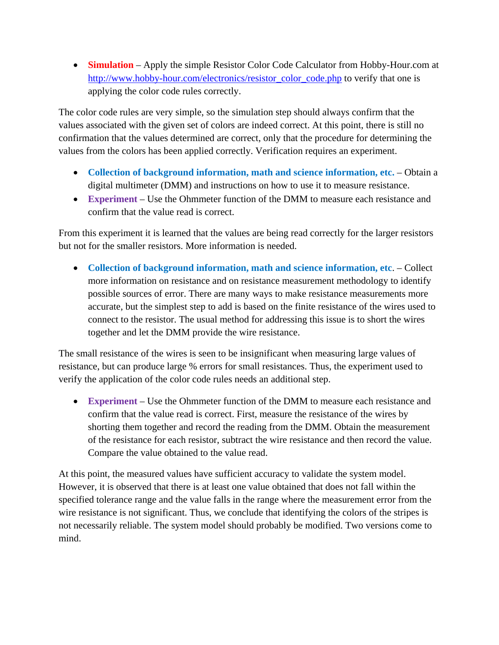• **Simulation** – Apply the simple Resistor Color Code Calculator from Hobby-Hour.com at [http://www.hobby-hour.com/electronics/resistor\\_color\\_code.php](http://www.hobby-hour.com/electronics/resistor_color_code.php) to verify that one is applying the color code rules correctly.

The color code rules are very simple, so the simulation step should always confirm that the values associated with the given set of colors are indeed correct. At this point, there is still no confirmation that the values determined are correct, only that the procedure for determining the values from the colors has been applied correctly. Verification requires an experiment.

- **Collection of background information, math and science information, etc.** Obtain a digital multimeter (DMM) and instructions on how to use it to measure resistance.
- **Experiment** Use the Ohmmeter function of the DMM to measure each resistance and confirm that the value read is correct.

From this experiment it is learned that the values are being read correctly for the larger resistors but not for the smaller resistors. More information is needed.

• **Collection of background information, math and science information, etc**. – Collect more information on resistance and on resistance measurement methodology to identify possible sources of error. There are many ways to make resistance measurements more accurate, but the simplest step to add is based on the finite resistance of the wires used to connect to the resistor. The usual method for addressing this issue is to short the wires together and let the DMM provide the wire resistance.

The small resistance of the wires is seen to be insignificant when measuring large values of resistance, but can produce large % errors for small resistances. Thus, the experiment used to verify the application of the color code rules needs an additional step.

• **Experiment** – Use the Ohmmeter function of the DMM to measure each resistance and confirm that the value read is correct. First, measure the resistance of the wires by shorting them together and record the reading from the DMM. Obtain the measurement of the resistance for each resistor, subtract the wire resistance and then record the value. Compare the value obtained to the value read.

At this point, the measured values have sufficient accuracy to validate the system model. However, it is observed that there is at least one value obtained that does not fall within the specified tolerance range and the value falls in the range where the measurement error from the wire resistance is not significant. Thus, we conclude that identifying the colors of the stripes is not necessarily reliable. The system model should probably be modified. Two versions come to mind.